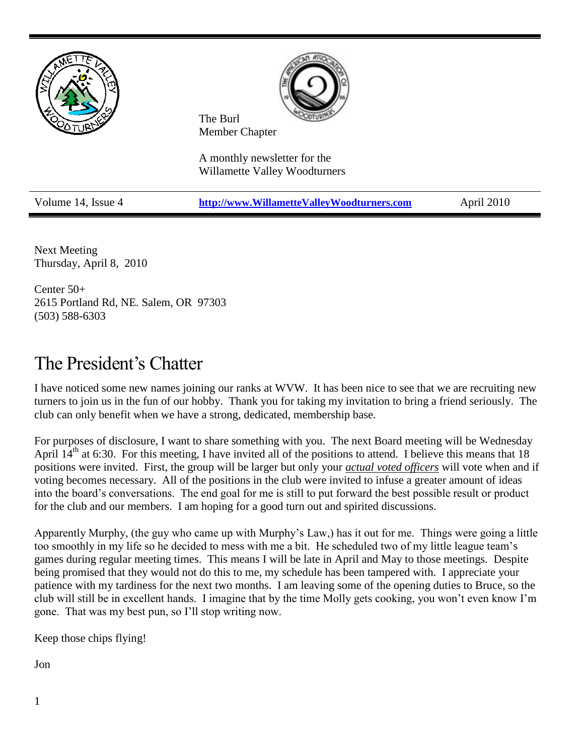

Next Meeting Thursday, April 8, 2010

Center 50+ 2615 Portland Rd, NE. Salem, OR 97303 (503) 588-6303

## The President's Chatter

I have noticed some new names joining our ranks at WVW. It has been nice to see that we are recruiting new turners to join us in the fun of our hobby. Thank you for taking my invitation to bring a friend seriously. The club can only benefit when we have a strong, dedicated, membership base.

For purposes of disclosure, I want to share something with you. The next Board meeting will be Wednesday April  $14<sup>th</sup>$  at 6:30. For this meeting, I have invited all of the positions to attend. I believe this means that 18 positions were invited. First, the group will be larger but only your *actual voted officers* will vote when and if voting becomes necessary. All of the positions in the club were invited to infuse a greater amount of ideas into the board's conversations. The end goal for me is still to put forward the best possible result or product for the club and our members. I am hoping for a good turn out and spirited discussions.

Apparently Murphy, (the guy who came up with Murphy's Law,) has it out for me. Things were going a little too smoothly in my life so he decided to mess with me a bit. He scheduled two of my little league team's games during regular meeting times. This means I will be late in April and May to those meetings. Despite being promised that they would not do this to me, my schedule has been tampered with. I appreciate your patience with my tardiness for the next two months. I am leaving some of the opening duties to Bruce, so the club will still be in excellent hands. I imagine that by the time Molly gets cooking, you won't even know I'm gone. That was my best pun, so I'll stop writing now.

Keep those chips flying!

Jon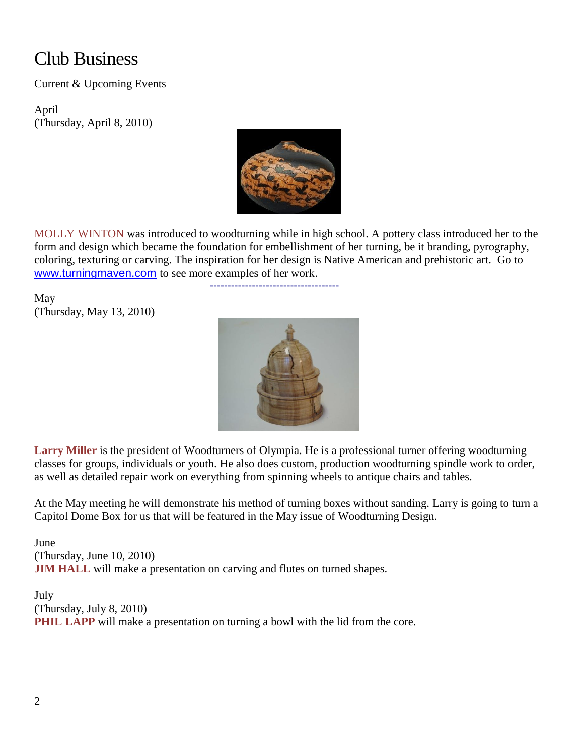# Club Business

Current & Upcoming Events

April (Thursday, April 8, 2010)



MOLLY WINTON was introduced to woodturning while in high school. A pottery class introduced her to the form and design which became the foundation for embellishment of her turning, be it branding, pyrography, coloring, texturing or carving. The inspiration for her design is Native American and prehistoric art. Go to [www.turningmaven.com](http://www.turningmaven.com/) to see more examples of her work.

-------------------------------------

May (Thursday, May 13, 2010)



**Larry Miller** is the president of Woodturners of Olympia. He is a professional turner offering woodturning classes for groups, individuals or youth. He also does custom, production woodturning spindle work to order, as well as detailed repair work on everything from spinning wheels to antique chairs and tables.

At the May meeting he will demonstrate his method of turning boxes without sanding. Larry is going to turn a Capitol Dome Box for us that will be featured in the May issue of Woodturning Design.

June (Thursday, June 10, 2010) **JIM HALL** will make a presentation on carving and flutes on turned shapes.

July (Thursday, July 8, 2010) **PHIL LAPP** will make a presentation on turning a bowl with the lid from the core.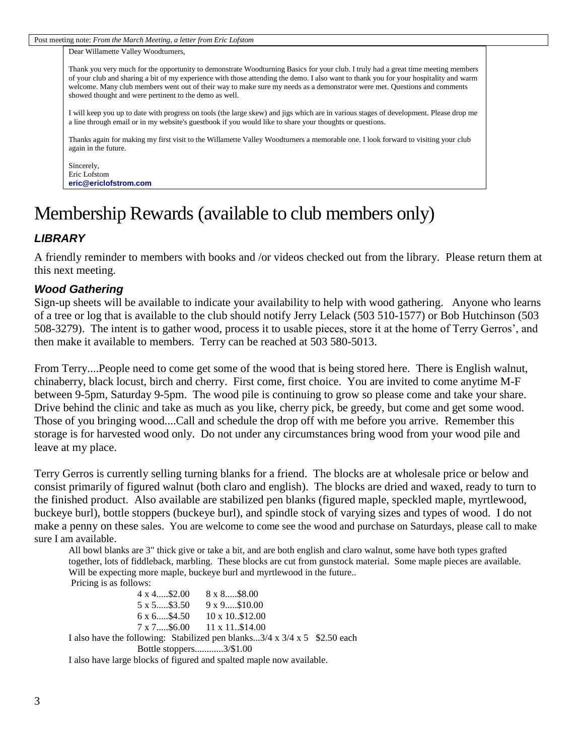Post meeting note: *From the March Meeting, a letter from Eric Lofstom*

Dear Willamette Valley Woodturners,

Thank you very much for the opportunity to demonstrate Woodturning Basics for your club. I truly had a great time meeting members of your club and sharing a bit of my experience with those attending the demo. I also want to thank you for your hospitality and warm welcome. Many club members went out of their way to make sure my needs as a demonstrator were met. Questions and comments showed thought and were pertinent to the demo as well.

I will keep you up to date with progress on tools (the large skew) and jigs which are in various stages of development. Please drop me a line through email or in my website's guestbook if you would like to share your thoughts or questions.

Thanks again for making my first visit to the Willamette Valley Woodturners a memorable one. I look forward to visiting your club again in the future.

Sincerely, Eric Lofstom **[eric@ericlofstrom.com](mailto:eric@ericlofstrom.com)**

## Membership Rewards (available to club members only)

## *LIBRARY*

A friendly reminder to members with books and /or videos checked out from the library. Please return them at this next meeting.

## *Wood Gathering*

Sign-up sheets will be available to indicate your availability to help with wood gathering. Anyone who learns of a tree or log that is available to the club should notify Jerry Lelack (503 510-1577) or Bob Hutchinson (503 508-3279). The intent is to gather wood, process it to usable pieces, store it at the home of Terry Gerros', and then make it available to members. Terry can be reached at 503 580-5013.

From Terry....People need to come get some of the wood that is being stored here. There is English walnut, chinaberry, black locust, birch and cherry. First come, first choice. You are invited to come anytime M-F between 9-5pm, Saturday 9-5pm. The wood pile is continuing to grow so please come and take your share. Drive behind the clinic and take as much as you like, cherry pick, be greedy, but come and get some wood. Those of you bringing wood....Call and schedule the drop off with me before you arrive. Remember this storage is for harvested wood only. Do not under any circumstances bring wood from your wood pile and leave at my place.

Terry Gerros is currently selling turning blanks for a friend. The blocks are at wholesale price or below and consist primarily of figured walnut (both claro and english). The blocks are dried and waxed, ready to turn to the finished product. Also available are stabilized pen blanks (figured maple, speckled maple, myrtlewood, buckeye burl), bottle stoppers (buckeye burl), and spindle stock of varying sizes and types of wood. I do not make a penny on these sales. You are welcome to come see the wood and purchase on Saturdays, please call to make sure I am available.

All bowl blanks are 3" thick give or take a bit, and are both english and claro walnut, some have both types grafted together, lots of fiddleback, marbling. These blocks are cut from gunstock material. Some maple pieces are available. Will be expecting more maple, buckeye burl and myrtlewood in the future.. Pricing is as follows:

4 x 4.....\$2.00 8 x 8.....\$8.00 5 x 5.....\$3.50 9 x 9.....\$10.00 6 x 6.....\$4.50 10 x 10..\$12.00 7 x 7.....\$6.00 11 x 11..\$14.00 I also have the following: Stabilized pen blanks...3/4 x 3/4 x 5 \$2.50 each Bottle stoppers............3/\$1.00

I also have large blocks of figured and spalted maple now available.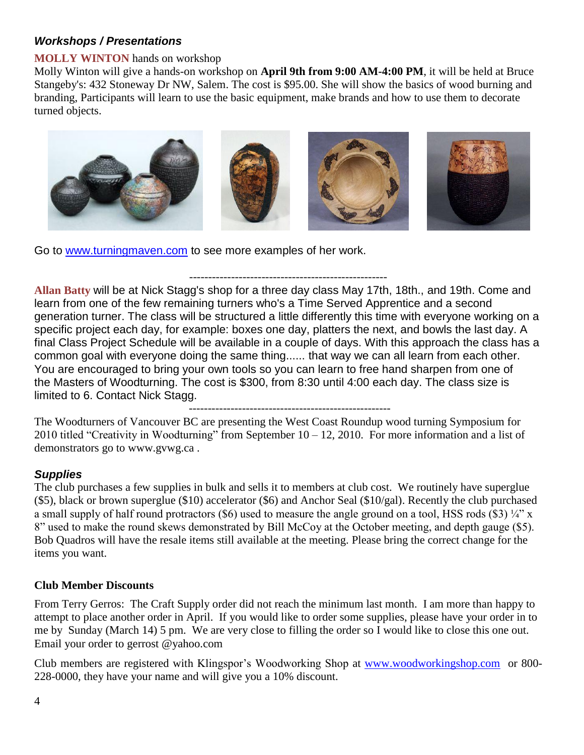## *Workshops / Presentations*

### **MOLLY WINTON** hands on workshop

Molly Winton will give a hands-on workshop on **April 9th from 9:00 AM-4:00 PM**, it will be held at Bruce Stangeby's: 432 Stoneway Dr NW, Salem. The cost is \$95.00. She will show the basics of wood burning and branding, Participants will learn to use the basic equipment, make brands and how to use them to decorate turned objects.



Go to [www.turningmaven.com](http://www.turningmaven.com/) to see more examples of her work.

## ----------------------------------------------------

**Allan Batty** will be at Nick Stagg's shop for a three day class May 17th, 18th., and 19th. Come and learn from one of the few remaining turners who's a Time Served Apprentice and a second generation turner. The class will be structured a little differently this time with everyone working on a specific project each day, for example: boxes one day, platters the next, and bowls the last day. A final Class Project Schedule will be available in a couple of days. With this approach the class has a common goal with everyone doing the same thing...... that way we can all learn from each other. You are encouraged to bring your own tools so you can learn to free hand sharpen from one of the Masters of Woodturning. The cost is \$300, from 8:30 until 4:00 each day. The class size is limited to 6. Contact Nick Stagg.

-----------------------------------------------------

The Woodturners of Vancouver BC are presenting the West Coast Roundup wood turning Symposium for 2010 titled "Creativity in Woodturning" from September  $10 - 12$ , 2010. For more information and a list of demonstrators go to [www.gvwg.ca](http://www.gvwg.ca/) .

## *Supplies*

The club purchases a few supplies in bulk and sells it to members at club cost. We routinely have superglue (\$5), black or brown superglue (\$10) accelerator (\$6) and Anchor Seal (\$10/gal). Recently the club purchased a small supply of half round protractors (\$6) used to measure the angle ground on a tool, HSS rods (\$3)  $\frac{1}{4}$ " x 8" used to make the round skews demonstrated by Bill McCoy at the October meeting, and depth gauge (\$5). Bob Quadros will have the resale items still available at the meeting. Please bring the correct change for the items you want.

## **Club Member Discounts**

From Terry Gerros: The Craft Supply order did not reach the minimum last month. I am more than happy to attempt to place another order in April. If you would like to order some supplies, please have your order in to me by Sunday (March 14) 5 pm. We are very close to filling the order so I would like to close this one out. Email your order to gerrost @yahoo.com

Club members are registered with Klingspor's Woodworking Shop at [www.woodworkingshop.com](http://www.woodworkingshop.com/)or 800- 228-0000, they have your name and will give you a 10% discount.